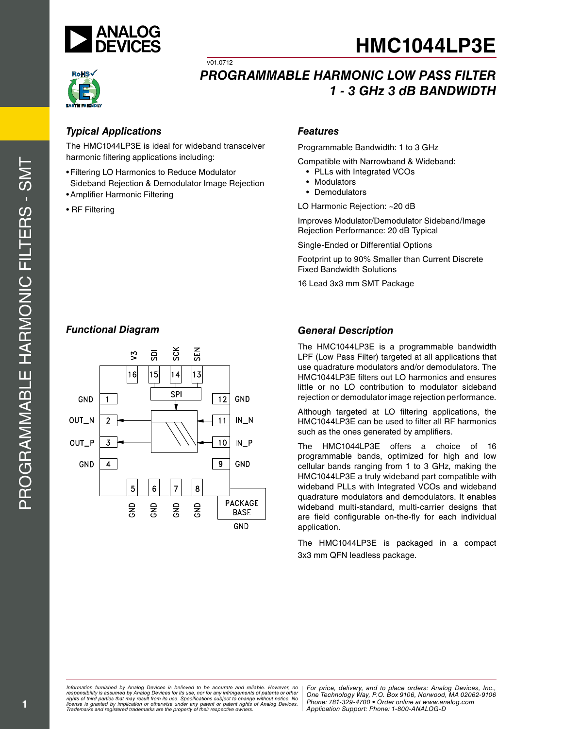



harmonic filtering applications including:

v01.0712

- **Features**<br>
The HMC1044LP3E is ideal for wideband transceiver<br> **Example Bandwidther Compatible with Narrowbs**<br> **Functional Depection & Demodulator Image Rejection •• PLLs with Integrated Sideband Rejection & Demodulator Im** • Filtering LO Harmonics to Reduce Modulator Sideband Rejection & Demodulator Image Rejection
- • Amplifier Harmonic Filtering
- R F Filtering

Programmable Bandwidth: 1 to 3 GHz

Compatible with Narrowband & Wideband:

- PLLs with Integrated VCOs
- • Modulators
- • Demodulators

LO Harmonic Rejection: ~20 d B

Improves Modulator/Demodulator Sideband/ Image Rejection Performance: 20 d B Typical

S ingle-Ended or Differential Options

Footprint up to 90% Smaller than Current Discrete Fixed Bandwidth Solutions

16 Lead 3x3 mm SMT Package



T he HMC1044 LP3 E is a programmable bandwidth LPF ( Low Pass Filter) targeted at all applications that use quadrature modulators and/or demodulators. The HMC1044 LP3 E filters out LO harmonics and ensures little or no LO contribution to modulator sideband

rejection or demodulator image rejection performance. Although targeted at LO filtering applications, the HMC1044LP3E can be used to filter all RF harmonics such as the ones generated by amplifiers. The HMC1044LP3E offers a choice of 16

programmable bands, optimized for high and low cellular bands ranging from 1 to 3 GHz, making the HMC1044 LP3 E a truly wideband part compatible with wideband PLLs with Integrated VCOs and wideband quadrature modulators and demodulators. It enables wideband multi-standard, multi-carrier designs that are field configurable on-the-fly for each individual application.<br>The HMC1044LP3E is packaged in a compact

3x3 mm QF N leadless package.

*Formation iurnished by Analog Devices is believed to be accurate and reliable. However, no Hor price, delivery, and to place orders: Analog Devices, In<br>roonsibility is assumed by Analog Devices for its use, nor for any pressult from its use. Specifications subject to change without notice. No*<br>ation or otherwise under any patent or patent rights of Analog Devices Phone: 781-329-4700 • Order online at ww *e* the property of their respective owners. **Application Support: Phone: 1-8** *Information furnished by Analog Devices is believed to be accurate and reliable. However, no*  responsibility is assumed by Analog Devices for its use, nor for any infringements of patents or other<br>rights of third parties that may result from its use. Specifications subject to change without notice. No<br>license is gr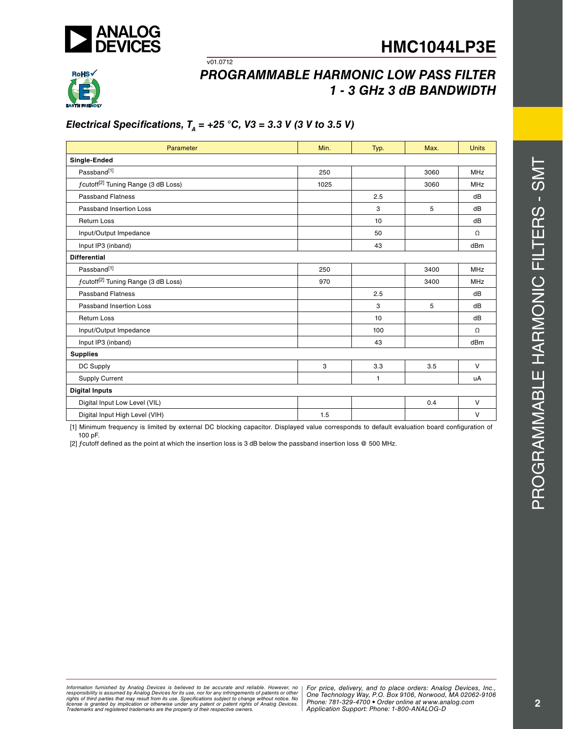



## *Programmable Harmonic Low Pass Filter 1 - 3 G Hz 3 d B BAN DWI D TH*

## *Electrical Specifications, TA = +25 ° C, V3 = 3.3 V (3 V to 3.5 V)*

v01.0712

| Parameter                                       | Min. | Typ. | Max. | <b>Units</b> |
|-------------------------------------------------|------|------|------|--------------|
| Single-Ended                                    |      |      |      |              |
| Passband <sup>[1]</sup>                         | 250  |      | 3060 | MHz          |
| fcutoff <sup>[2]</sup> Tuning Range (3 dB Loss) | 1025 |      | 3060 | MHz          |
| <b>Passband Flatness</b>                        |      | 2.5  |      | dB           |
| Passband Insertion Loss                         |      | 3    | 5    | dB           |
| <b>Return Loss</b>                              |      | 10   |      | dB           |
| Input/Output Impedance                          |      | 50   |      | Ω            |
| Input IP3 (inband)                              |      | 43   |      | dBm          |
| <b>Differential</b>                             |      |      |      |              |
| Passband[1]                                     | 250  |      | 3400 | MHz          |
| fcutoff <sup>[2]</sup> Tuning Range (3 dB Loss) | 970  |      | 3400 | MHz          |
| <b>Passband Flatness</b>                        |      | 2.5  |      | dB           |
| <b>Passband Insertion Loss</b>                  |      | 3    | 5    | dB           |
| <b>Return Loss</b>                              |      | 10   |      | dB           |
| Input/Output Impedance                          |      | 100  |      | Ω            |
| Input IP3 (inband)                              |      | 43   |      | dBm          |
| <b>Supplies</b>                                 |      |      |      |              |
| DC Supply                                       | 3    | 3.3  | 3.5  | $\vee$       |
| <b>Supply Current</b>                           |      | 1    |      | uA           |
| <b>Digital Inputs</b>                           |      |      |      |              |
| Digital Input Low Level (VIL)                   |      |      | 0.4  | $\vee$       |
| Digital Input High Level (VIH)                  | 1.5  |      |      | $\vee$       |
|                                                 |      |      |      |              |

[1] Minimum frequency is limited by external D C blocking capacitor. Displayed value corresponds to default evaluation board configuration of 100 pF.

[2] ƒcutoff defined as the point at which the insertion loss is 3 d B below the passband insertion loss @ 500 MHz .

PROGRAMMABLE HARMONIC FILTERS - SMT Programmable Harmonic Filters - SMT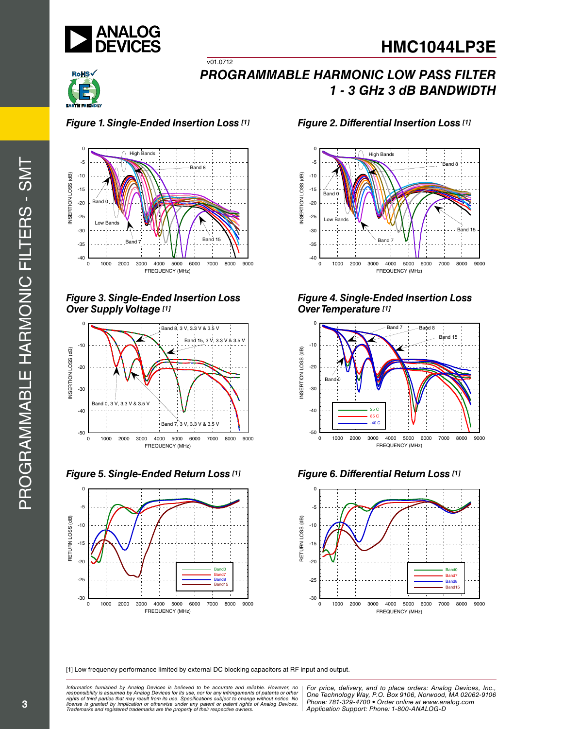



## *Figure 1. Single-Ended Insertion*

 $\overline{v01.0712}$ 



*Figure 3. Single-Ended Insertion Loss O ver Supply Voltage [1]*



*Figure 5. Single-Ended Return* 



#### *Loss [1] Figure 2. Differential Insertion Loss [1]*



### *Figure 4. Single-Ended Insertion Loss O ver Temperature [1]*







[1] Low frequency performance limited by external D C blocking capacitors at RF input and output.

*Formation iurnished by Anialog Devices is believed to be accurate and reliable. However, no Hor price, delivery, and to place orders: Analog Devices, In<br>roonsibility is assumed by Analog Devices for its use, nor for any pressult from its use. Specifications subject to change without notice. No*<br>ation or otherwise under any patent or patent rights of Analog Devices Phone: 781-329-4700 • Order online at ww *e* the property of their respective owners. **Application Support: Phone: 1-8** *Information furnished by Analog Devices is believed to be accurate and reliable. However, no*  responsibility is assumed by Analog Devices for its use, nor for any infringements of patents or other<br>rights of third parties that may result from its use. Specifications subject to change without notice. No<br>license is gr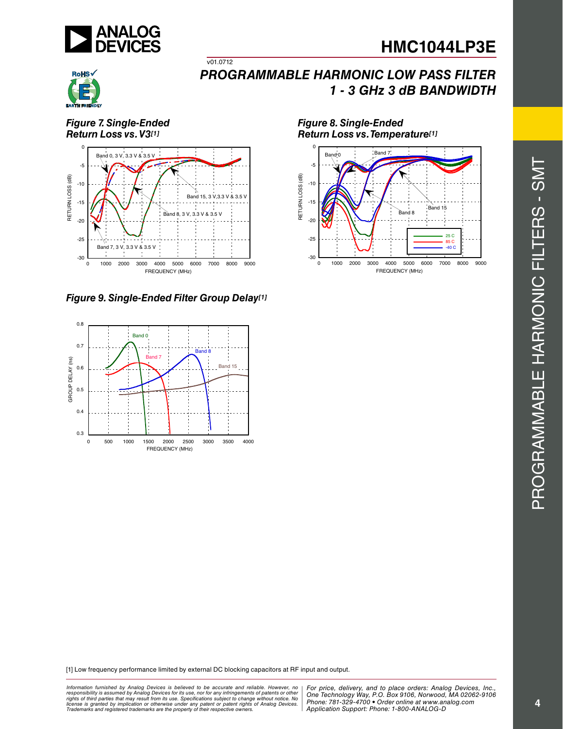



*Figure 7. Single-Ended Return Loss vs. V3[1]*



v01.0712

*Figure 9. Single-Ended Filter Group Delay[1]*



*Figure 8. Single-Ended Return Loss vs. Temperature[1]*



[1] Low frequency performance limited by external D C blocking capacitors at RF input and output.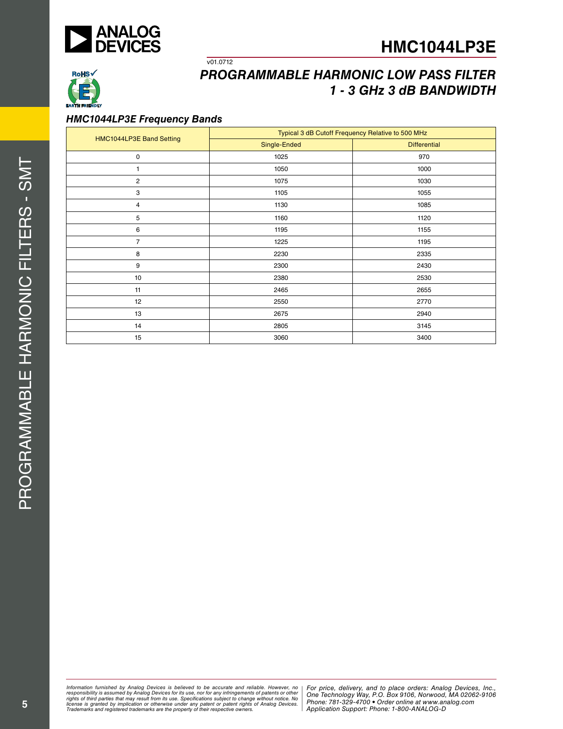



#### *HMC1044 LP3 E Frequency B ands*

v01.0712

|                          | Typical 3 dB Cutoff Frequency Relative to 500 MHz |                     |  |  |
|--------------------------|---------------------------------------------------|---------------------|--|--|
| HMC1044LP3E Band Setting | Single-Ended                                      | <b>Differential</b> |  |  |
| 0                        | 1025                                              | 970                 |  |  |
| 1                        | 1050                                              | 1000                |  |  |
| 2                        | 1075                                              | 1030                |  |  |
| 3                        | 1105                                              | 1055                |  |  |
| 4                        | 1130                                              | 1085                |  |  |
| 5                        | 1160                                              | 1120                |  |  |
| 6                        | 1195                                              | 1155                |  |  |
| $\overline{7}$           | 1225                                              | 1195                |  |  |
| 8                        | 2230                                              | 2335                |  |  |
| 9                        | 2300                                              | 2430                |  |  |
| 10                       | 2380                                              | 2530                |  |  |
| 11                       | 2465                                              | 2655                |  |  |
| 12                       | 2550                                              | 2770                |  |  |
| 13                       | 2675                                              | 2940                |  |  |
| 14                       | 2805                                              | 3145                |  |  |
| 15                       | 3060                                              | 3400                |  |  |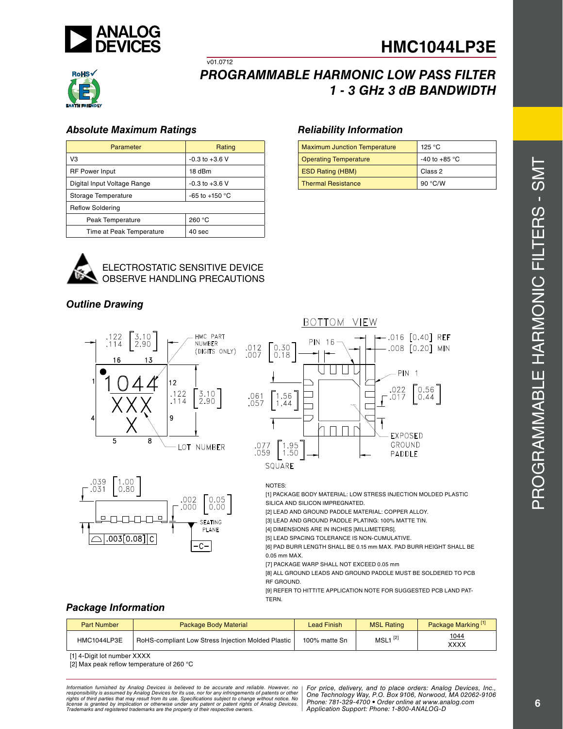



#### *Absolute Maximum Ratings*

| Parameter                   | Rating                   |
|-----------------------------|--------------------------|
| VЗ                          | $-0.3$ to $+3.6$ V       |
| <b>RF Power Input</b>       | 18 dBm                   |
| Digital Input Voltage Range | $-0.3$ to $+3.6$ V       |
| Storage Temperature         | -65 to +150 $^{\circ}$ C |
| <b>Reflow Soldering</b>     |                          |
| Peak Temperature            | 260 °C                   |
| Time at Peak Temperature    | 40 <sub>sec</sub>        |



#### ELECTROSTATIC SENSITIVE DEVIC OBSERVE HANDLING PRECAUTI

v01.0712

## *Outline Drawing*





#### *Reliability Information*

| <b>Maximum Junction Temperature</b> | 125 °C                  |
|-------------------------------------|-------------------------|
| <b>Operating Temperature</b>        | -40 to +85 $^{\circ}$ C |
| <b>ESD Rating (HBM)</b>             | Class 2                 |
| <b>Thermal Resistance</b>           | 90 °C/W                 |



#### NOTES :

[1] PACKAGE BODY MATERIAL: LOW STRESS INJECTION MOLDED PL. SILICA AND SILICON IMPREGNATED.

[2] LEAD AND GROUND PADDLE MATERIAL: COPPER ALLOY.

[3] LEAD AND GROUND PADDLE PLATING: 100% MATTE TIN.

[4] DIMENSIONS ARE IN INCHES [MILLIMETERS].

[5] LEAD SPACING TOLERANCE IS NON-CUMULATIVE.

[6] PAD BURR LENGTH SHALL BE 0.15 mm MAX. PAD BURR HEIGHT SHALL B 0.05 mm MA X. [7] PACKAGE WARP SHALL NOT EXCEED 0.05 mm

[8] ALL GROUND LEADS AND GROUND PADDLE MUST BE SOLDERED TO PC RF GRO U ND.

[9] REFER TO HITTITE APPLICATION NOTE FOR SUGGESTED PCB LAND PAT-TERN .

### *Package Information*

| <b>Part Number</b> | <b>Package Body Material</b>                              | <b>Lead Finish</b> | <b>MSL Rating</b>                    | Package Marking <sup>[1]</sup> |
|--------------------|-----------------------------------------------------------|--------------------|--------------------------------------|--------------------------------|
| HMC1044LP3E        | <b>RoHS-compliant Low Stress Injection Molded Plastic</b> | 100% matte Sn      | $MSL1$ <sup><math> C_1 </math></sup> | <u> 1044</u><br>XXXX           |

[1] 4-Digit lot number XXXX

[2] Max peak reflow temperature of 260 ° C

ormation furnished by Analog Devices is believed to be accurate and reliable. However, no | For price, delivery, and to place orders: Analog Devices, Inc.,<br>popsibility is assumed by Analog Devices for its use, not for any *pressult from its use. Specifications subject to change without notice. No*<br>ation or otherwise under any patent or patent rights of Analog Devices Phone: 781-329-4700 • Order online at ww *e* the property of their respective owners. **Application Support: Phone: 1-8** *Information furnished by Analog Devices is believed to be accurate and reliable. However, no*  responsibility is assumed by Analog Devices for its use, nor for any infringements of patents or other<br>rights of third parties that may result from its use. Specifications subject to change without notice. No<br>license is gr

*Phone: 781-329-4700 • Order online at www.analog.com Application Support: Phone: 1-800-ANALOG-D*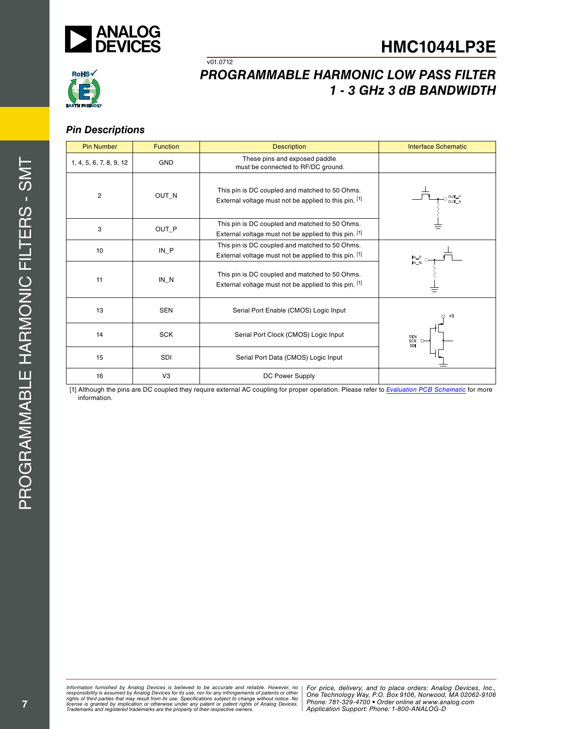



#### *Pin Descriptions*

| <b>Pin Number</b>       | <b>Function</b> | <b>Description</b>                                                                                      | <b>Interface Schematic</b>                                                            |
|-------------------------|-----------------|---------------------------------------------------------------------------------------------------------|---------------------------------------------------------------------------------------|
| 1, 4, 5, 6, 7, 8, 9, 12 | <b>GND</b>      | These pins and exposed paddle<br>must be connected to RF/DC ground.                                     |                                                                                       |
| $\overline{c}$          | OUT_N           | This pin is DC coupled and matched to 50 Ohms.<br>External voltage must not be applied to this pin. [1] | OUT_P<br>OUT_N                                                                        |
| 3                       | OUT P           | This pin is DC coupled and matched to 50 Ohms.<br>External voltage must not be applied to this pin. [1] |                                                                                       |
| 10                      | $IN_P$          | This pin is DC coupled and matched to 50 Ohms.<br>External voltage must not be applied to this pin. [1] | $\begin{array}{c} \mathsf{IN} \_ \mathsf{P} \\ \mathsf{IN} \_ \mathsf{N} \end{array}$ |
| 11                      | $IN_N$          | This pin is DC coupled and matched to 50 Ohms.<br>External voltage must not be applied to this pin. [1] |                                                                                       |
| 13                      | <b>SEN</b>      | Serial Port Enable (CMOS) Logic Input                                                                   | V <sub>3</sub><br>∩                                                                   |
| 14                      | <b>SCK</b>      | Serial Port Clock (CMOS) Logic Input                                                                    | SEN<br>SCK<br>SDI                                                                     |
| 15                      | SDI             | Serial Port Data (CMOS) Logic Input                                                                     |                                                                                       |
| 16                      | V3              | DC Power Supply                                                                                         |                                                                                       |

 $\overline{v01.0712}$ 

[1] Although the pins are DC coupled they require external AC coupling for proper operation. Please refer to *Evaluation PCB Schematic* for more information.

*Formation iurnished by Anialog Devices is believed to be accurate and reliable. However, no Hor price, delivery, and to place orders: Analog Devices, In<br>roonsibility is assumed by Analog Devices for its use, nor for any pressult from its use. Specifications subject to change without notice. No*<br>ation or otherwise under any patent or patent rights of Analog Devices Phone: 781-329-4700 • Order online at ww *e* the property of their respective owners. **Application Support: Phone: 1-8** Information furnished by Analog Devices is believed to be accurate and reliable. However, no<br>responsibility is assumed by Analog Devices for its use, nor for any infringements of patents or other<br>rights of third parties th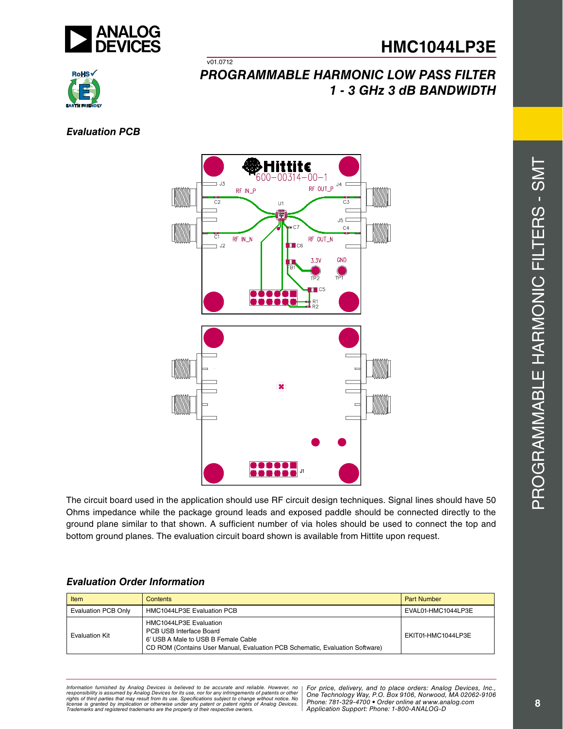



## v01.0712 *Programmable Harmonic Low Pass Filter 1 - 3 G Hz 3 d B BAN DWI D TH*

*Evaluation PCB*



The circuit board used in the application should use RF circuit design techniques. Signal lines should have 50 Ohms impedance while the package ground leads and exposed paddle should be connected directly to the ground plane similar to that shown. A sufficient number of via holes should be used to connect the top and bottom ground planes. The evaluation circuit board shown is available from Hittite upon request.

| Item                  | Contents                                                                                                                                                                 | <b>Part Number</b> |
|-----------------------|--------------------------------------------------------------------------------------------------------------------------------------------------------------------------|--------------------|
| Evaluation PCB Only   | HMC1044LP3E Evaluation PCB                                                                                                                                               | EVAL01-HMC1044LP3E |
| <b>Evaluation Kit</b> | HMC1044LP3E Evaluation<br>PCB USB Interface Board<br>6' USB A Male to USB B Female Cable<br>CD ROM (Contains User Manual, Evaluation PCB Schematic, Evaluation Software) | EKIT01-HMC1044LP3E |

## *Evaluation Order Information*

*Formation iurnished by Anialog Devices is believed to be accurate and reliable. However, no Hor price, delivery, and to place orders: Analog Devices, In<br>roonsibility is assumed by Analog Devices for its use, nor for any pressult from its use. Specifications subject to change without notice. No*<br>ation or otherwise under any patent or patent rights of Analog Devices Phone: 781-329-4700 • Order online at ww *e* the property of their respective owners. **Application Support: Phone: 1-8** *Information furnished by Analog Devices is believed to be accurate and reliable. However, no*  responsibility is assumed by Analog Devices for its use, nor for any infringements of patents or other<br>rights of third parties that may result from its use. Specifications subject to change without notice. No<br>license is gr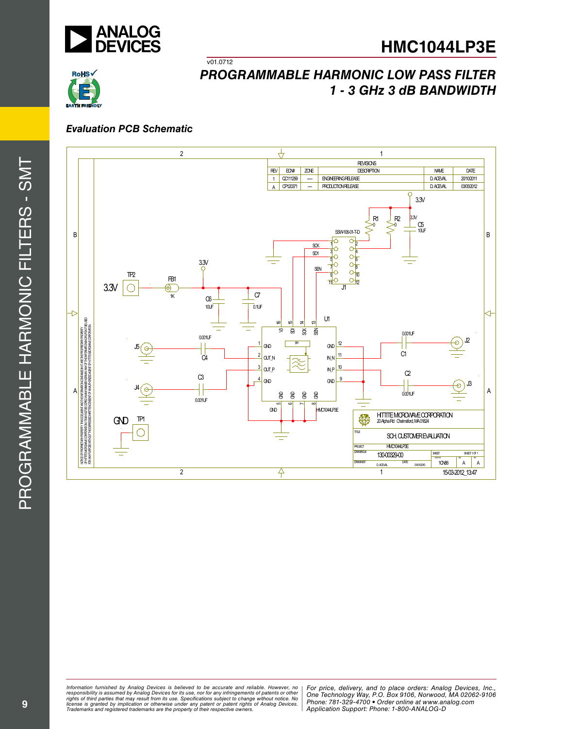



#### *Evaluation PCB Schematic*

 $\overline{v01.0712}$ 



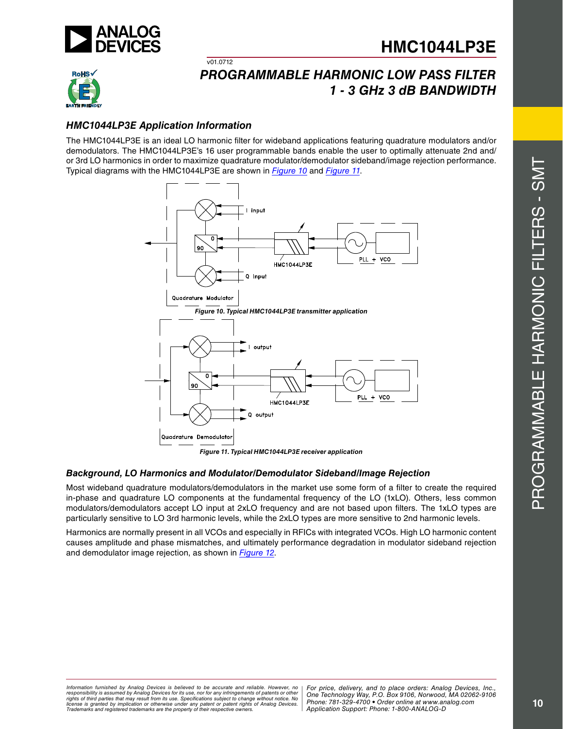



## *Programmable Harmonic Low Pass Filter 1 - 3 G Hz 3 d B BAN DWI D TH*

### *HMC1044 LP3 E Application Information*

 $v01.0712$ 

The HMC1044LP3E is an ideal LO harmonic filter for wideband applications featuring quadrature modulators and/or demodulators. The HMC1044LP3E's 16 user programmable bands enable the user to optimally attenuate 2nd and/ or 3rd LO harmonics in order to maximize quadrature modulator/demodulator sideband/image rejection performance. Typical diagrams with the HMC1044 LP3 E are shown in *Figure 10* and *Figure 11* .



*Figure 11. Typical HMC1044 LP3 E receiver application*

#### *Background, LO Harmonics and Modulator/Demodulator Sideband/Image Rejection*

Most wideband quadrature modulators/demodulators in the market use some form of a filter to create the required in-phase and quadrature LO components at the fundamental frequency of the LO (1xLO). Others, less common modulators/demodulators accept LO input at 2xLO frequency and are not based upon filters. The 1xLO types are particularly sensitive to LO 3rd harmonic levels, while the 2xLO types are more sensitive to 2nd harmonic levels.

Harmonics are normally present in all VCOs and especially in R FICs with integrated VCOs. High LO harmonic content causes amplitude and phase mismatches, and ultimately performance degradation in modulator sideband rejection and demodulator image rejection, as shown in *Figure 12* .

*Formation iurnished by Anialog Devices is believed to be accurate and reliable. However, no Hor price, delivery, and to place orders: Analog Devices, In<br>roonsibility is assumed by Analog Devices for its use, nor for any pressult from its use. Specifications subject to change without notice. No*<br>ation or otherwise under any patent or patent rights of Analog Devices Phone: 781-329-4700 • Order online at ww *e* the property of their respective owners. **Application Support: Phone: 1-8** *Information furnished by Analog Devices is believed to be accurate and reliable. However, no*  responsibility is assumed by Analog Devices for its use, nor for any infringements of patents or other<br>rights of third parties that may result from its use. Specifications subject to change without notice. No<br>license is gr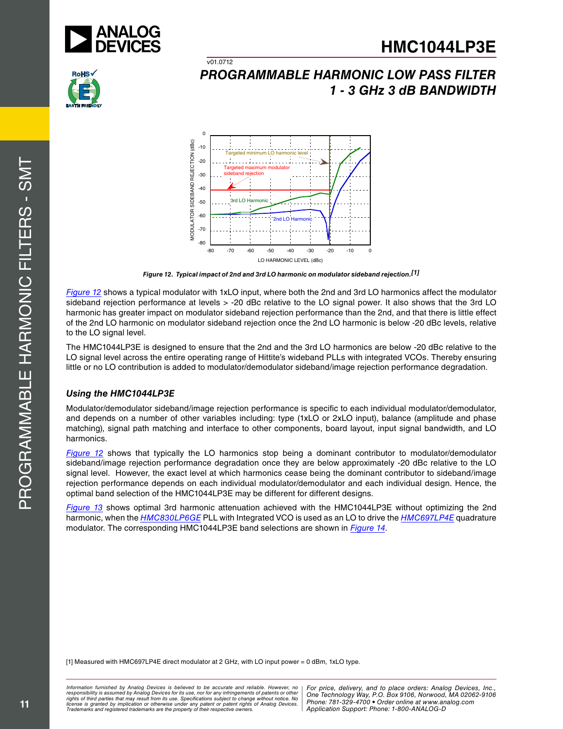





 $v01.0712$ 

*Figure 12. Typical impact of 2nd and 3rd LO harmonic on modulator sideband rejection.[1]*

*Figure 12* shows a typical modulator with 1xLO input, where both the 2nd and 3rd LO harmonics affect the modulator sideband rejection performance at levels > -20 dBc relative to the LO signal power. It also shows that the 3rd LO harmonic has greater impact on modulator sideband rejection performance than the 2nd, and that there is little effect of the 2nd LO harmonic on modulator sideband rejection once the 2nd LO harmonic is below -20 d Bc levels, relative to the LO signal level.

The HMC1044 LP3 E is designed to ensure that the 2nd and the 3rd LO harmonics are below -20 d Bc relative to the LO signal level across the entire operating range of Hittite's wideband PLLs with integrated VCOs. Thereby ensuring little or no LO contribution is added to modulator/demodulator sideband/image rejection performance degradation.

#### *Using the HMC1044 LP3 E*

Modulator/demodulator sideband/image rejection performance is specific to each individual modulator/demodulator, and depends on a number of other variables including: type (1xLO or 2xLO input), balance (amplitude and phase matching), signal path matching and interface to other components, board layout, input signal bandwidth, and L harmonics.

Figure 12 shows that typically the LO harmonics stop being a dominant contributor to modulator/demodulator sideband/image rejection performance degradation once they are below approximately -20 dBc relative to the LO signal level. However, the exact level at which harmonics cease being the dominant contributor to sideband/image rejection performance depends on each individual modulator/demodulator and each individual design. Hence, the optimal band selection of the HMC1044 LP3 E may be different for different designs.

*Figure 13* shows optimal 3rd harmonic attenuation achieved with the HMC1044 LP3 E without optimizing the 2nd harmonic, when the *HMC830LP6GE* PLL with Integrated VCO is used as an LO to drive the *HMC697LP4E* quadrature modulator. The corresponding HMC1044 LP3 E band selections are shown in *Figure 14*.

[1] Measured with HMC69 7 LP4 E direct modulator at 2 GHz, with LO input power = 0 d Bm, 1 xLO type.

*Formation iurnished by Anialog Devices is believed to be accurate and reliable. However, no Hor price, delivery, and to place orders: Analog Devices, In<br>roonsibility is assumed by Analog Devices for its use, nor for any pressult from its use. Specifications subject to change without notice. No*<br>ation or otherwise under any patent or patent rights of Analog Devices Phone: 781-329-4700 • Order online at ww *e* the property of their respective owners. **Application Support: Phone: 1-8** *Information furnished by Analog Devices is believed to be accurate and reliable. However, no*  responsibility is assumed by Analog Devices for its use, nor for any infringements of patents or other<br>rights of third parties that may result from its use. Specifications subject to change without notice. No<br>license is gr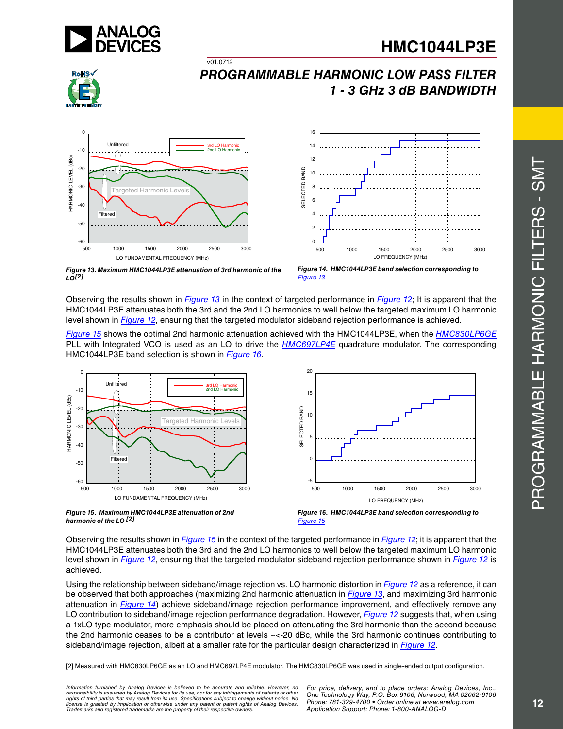



## *Programmable Harmonic Low Pass Filter 1 - 3 G Hz 3 d B BAN DWI D TH*



 $V$ 01.0712



*Figure 13. Maximum HMC1044 LP3 E attenuation of 3rd harmonic of the LO[2]* 



Observing the results shown in *Figure 13* in the context of targeted performance in *Figure 12*; It is apparent that the HMC1044 LP3 E attenuates both the 3rd and the 2nd LO harmonics to well below the targeted maximum LO harmonic level shown in *Figure 12*, ensuring that the targeted modulator sideband rejection performance is achieved.

*Figure 15* shows the optimal 2nd harmonic attenuation achieved with the HMC1044 LP3 E, when the *HMC830LP6GE* PLL with Integrated VCO is used as an LO to drive the *HMC697LP4E* quadrature modulator. The corresponding HMC1044 LP3 E band selection is shown in *Figure 16* .



*harmonic of the LO [2]*

*Figure 15*

Observing the results shown in *Figure 15* in the context of the targeted performance in *Figure 12*; it is apparent that the HMC1044LP3E attenuates both the 3rd and the 2nd LO harmonics to well below the targeted maximum level shown in *Figure 12*, ensuring that the targeted modulator sideband rejection performance shown in *Figure 12* is achieved.

Using the relationship between sideband/image rejection vs. LO harmonic distortion in *Figure 12* as a reference, it can be observed that both approaches (maximizing 2nd harmonic attenuation in *Figure 13*, and maximizing 3rd harmonic attenuation in *Figure 14*) achieve sideband/image rejection performance improvement, and effectively remove any LO contribution to sideband/image rejection performance degradation. However, *Figure 12* suggests that, when using a 1xLO type modulator, more emphasis should be placed on attenuating the 3rd harmonic than the second because the 2nd harmonic ceases to be a contributor at levels ~<-20 d Bc, while the 3rd harmonic continues contributing to sideband/image rejection, albeit at a smaller rate for the particular design characterized in *Figure 12* .

[2] Measured with HMC830LP6GE as an LO and HMC697LP4E modulator. The HMC830LP6GE was used in single-ended output configuration.

*Formation iurnished by Anialog Devices is believed to be accurate and reliable. However, no Hor price, delivery, and to place orders: Analog Devices, In<br>roonsibility is assumed by Analog Devices for its use, nor for any pressult from its use. Specifications subject to change without notice. No*<br>ation or otherwise under any patent or patent rights of Analog Devices Phone: 781-329-4700 • Order online at ww *e* the property of their respective owners. **Application Support: Phone: 1-8** *Information furnished by Analog Devices is believed to be accurate and reliable. However, no*  responsibility is assumed by Analog Devices for its use, nor for any infringements of patents or other<br>rights of third parties that may result from its use. Specifications subject to change without notice. No<br>license is gr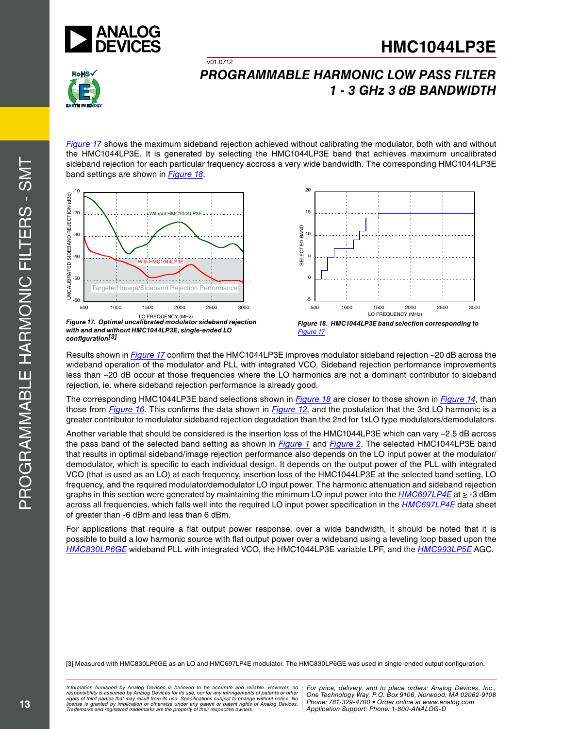



*Figure 17* shows the maximum sideband rejection achieved without calibrating the modulator, both with and without the HMC1044LP3E. It is generated by selecting the HMC1044LP3E band that achieves maximum uncalibrated sideband rejection for each particular frequency accross a very wide bandwidth. The corresponding HMC1044LP3E band settings are shown in *Figure 18* .

 $v01.0712$ 



*Figure 17. Optimal uncalibrated modulator sideband rejection with and and without HMC1044 LP3 E, single-ended LO configuration[3]*



*Figure 18. HMC1044 LP3 E band selection corresponding to Figure 17*

Results shown in *Figure 17* confirm that the HMC1044LP3E improves modulator sideband rejection ~20 dB across the wideband operation of the modulator and PLL with integrated VCO. Sideband rejection performance improvements less than ~20 d B occur at those frequencies where the LO harmonics are not a dominant contributor to sideband rejection, ie. where sideband rejection performance is already good.

The corresponding HMC1044LP3E band selections shown in *Figure 18* are closer to those shown in *Figure 14*, than those from *Figure 16*. This confirms the data shown in *Figure 12*, and the postulation that the 3rd LO harmonic is a greater contributor to modulator sideband rejection degradation than the 2nd for 1xLO type modulators/demodulators.<br>Another variable that should be considered is the insertion loss of the HMC1044LP3E which can vary ~2.5 dB

the pass band of the selected band setting as shown in *Figure 1* and *Figure 2*. The selected HMC1044 LP3 E band that results in optimal sideband/image rejection performance also depends on the LO input power at the modulator/ demodulator, which is specific to each individual design. It depends on the output power of the PLL with integrated VCO (that is used as an LO) at each frequency, insertion loss of the HMC1044LP3E at the selected band setting, LO frequency, and the required modulator/demodulator LO input power. The harmonic attenuation and sideband rejection graphs in this section were generated by maintaining the minimum LO input power into the *HMC697LP4E* at ≥ -3 d Bm across all frequencies, which falls well into the required LO input power specification in the *HMC697LP4E* data sheet of greater than -6 d Bm and less than 6 d Bm.

For applications that require a flat output power response, over a wide bandwidth, it should be noted that it is possible to build a low harmonic source with flat output power over a wideband using a leveling loop based upon the *HMC830LP6GE* wideband PLL with integrated VCO, the HMC1044 LP3 E variable LPF, and the *HMC993LP5E* AGC .

[3] Measured with HMC830LP6GE as an LO and HMC697LP4E modulator. The HMC830LP6GE was used in single-ended output configuration.

*Formation iurnished by Anialog Devices is believed to be accurate and reliable. However, no Hor price, delivery, and to place orders: Analog Devices, In<br>roonsibility is assumed by Analog Devices for its use, nor for any* responsibility is assumed by Analog Devices for its use, nor for any infringements of patents or other **One Technology Way, P.O. Box 9106, Norv**<br>rights of third parties that may result from its use. Specifications subject *Trademarks and registered trademarks are the property of their respective owners.*  $\vert$  *Application Support: Phone: 1-8 Information furnished by Analog Devices is believed to be accurate and reliable. However, no*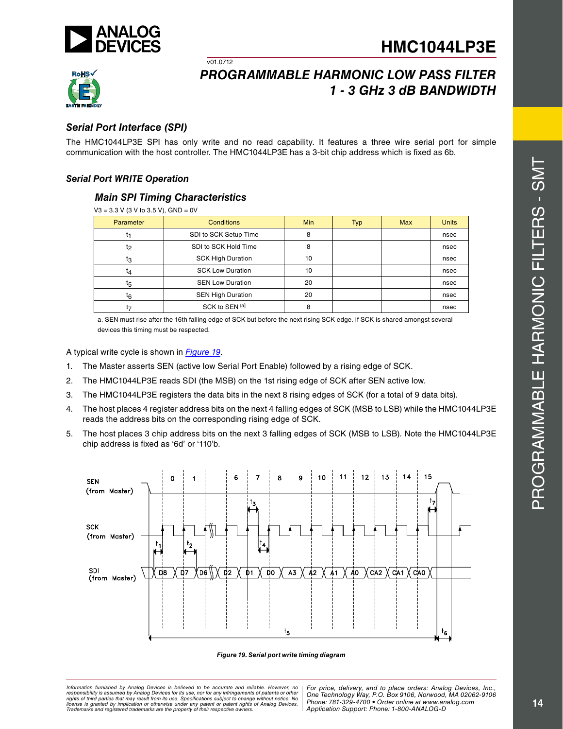



## *Programmable Harmonic Low Pass Filter 1 - 3 G Hz 3 d B BAN DWI D TH*

### *Serial Port Interface (S P I)*

The HMC1044LP3E SPI has only write and no read capability. It features a three wire serial port for simple communication with the host controller. The HMC1044 LP3 E has a 3-bit chip address which is fixed as 6b.

#### *Serial Port WRITE Operation*

#### *Main S P I Timing Characteristics*

v01.0712

| $V3 = 3.3$ V (3 V to 3.5 V), GND = 0V |                          |            |            |            |              |
|---------------------------------------|--------------------------|------------|------------|------------|--------------|
| Parameter                             | <b>Conditions</b>        | <b>Min</b> | <b>Typ</b> | <b>Max</b> | <b>Units</b> |
|                                       | SDI to SCK Setup Time    | 8          |            |            | nsec         |
| t <sub>2</sub>                        | SDI to SCK Hold Time     | 8          |            |            | nsec         |
| tз                                    | <b>SCK High Duration</b> | 10         |            |            | nsec         |
| t4                                    | <b>SCK Low Duration</b>  |            |            |            | nsec         |
| t5                                    | <b>SEN Low Duration</b>  | 20         |            |            | nsec         |
| $t_6$                                 | <b>SEN High Duration</b> | 20         |            |            | nsec         |
| t7                                    | SCK to SEN [a]           | 8          |            |            | nsec         |

a. SEN must rise after the 16th falling edge of SCK but before the next rising SCK edge. If SCK is shared amongst several devices this timing must be respected.

A typical write cycle is shown in *Figure 19* .

- 1. The Master asserts SEN (active low Serial Port Enable) followed by a rising edge of SC K.
- 2 . The HMC1044LP3E reads SDI (the MSB) on the 1st rising edge of SCK after SEN active low.
- 3. The HMC1044LP3E registers the data bits in the next 8 rising edges of SCK (for a total of 9 data bits).
- 4. The host places 4 register address bits on the next 4 falling edges of SCK (MSB to LSB) while the HMC1044LP3E reads the address bits on the corresponding rising edge of SCK.
- 5 . The host places 3 chip address bits on the next 3 falling edges of SCK (MSB to LSB). Note the HMC1044LP3E chip address is fixed as '6d' or '110'b.



#### *Figure 19. Serial port write timing diagram*

*Formation iurnished by Anialog Devices is believed to be accurate and reliable. However, no Hor price, delivery, and to place orders: Analog Devices, In<br>roonsibility is assumed by Analog Devices for its use, nor for any pressult from its use. Specifications subject to change without notice. No*<br>ation or otherwise under any patent or patent rights of Analog Devices Phone: 781-329-4700 • Order online at ww *e* the property of their respective owners. **Application Support: Phone: 1-8** *Information furnished by Analog Devices is believed to be accurate and reliable. However, no*  responsibility is assumed by Analog Devices for its use, nor for any infringements of patents or other<br>rights of third parties that may result from its use. Specifications subject to change without notice. No<br>license is gr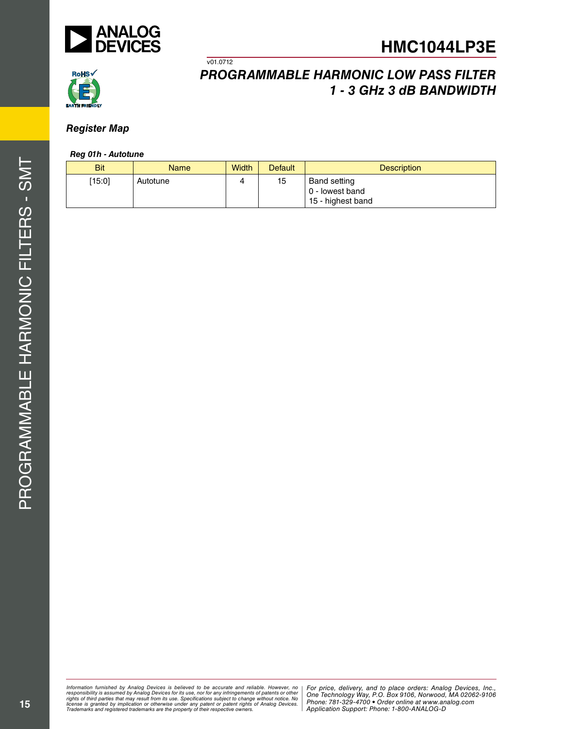



## *Register Map*

#### *Reg 01h - Autotune*

| <b>Bit</b> | <b>Name</b> | <b>Width</b> | <b>Default</b> | <b>Description</b>                                          |
|------------|-------------|--------------|----------------|-------------------------------------------------------------|
| [15:0]     | Autotune    |              | 15             | <b>Band setting</b><br>0 - lowest band<br>15 - highest band |

v01.0712